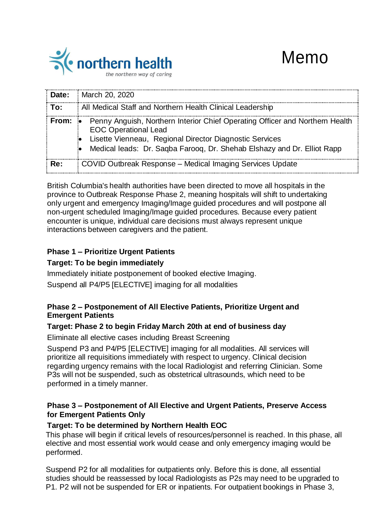

| :Date: | <b>March 20, 2020</b>                                                                                                                                                                                                                             |
|--------|---------------------------------------------------------------------------------------------------------------------------------------------------------------------------------------------------------------------------------------------------|
| To:    | All Medical Staff and Northern Health Clinical Leadership                                                                                                                                                                                         |
| From:  | Penny Anguish, Northern Interior Chief Operating Officer and Northern Health<br><b>EOC Operational Lead</b><br>Lisette Vienneau, Regional Director Diagnostic Services<br>Medical leads: Dr. Saqba Farooq, Dr. Shehab Elshazy and Dr. Elliot Rapp |
| Re:    | COVID Outbreak Response – Medical Imaging Services Update                                                                                                                                                                                         |

British Columbia's health authorities have been directed to move all hospitals in the province to Outbreak Response Phase 2, meaning hospitals will shift to undertaking only urgent and emergency Imaging/Image guided procedures and will postpone all non-urgent scheduled Imaging/Image guided procedures. Because every patient encounter is unique, individual care decisions must always represent unique interactions between caregivers and the patient.

# **Phase 1 – Prioritize Urgent Patients**

## **Target: To be begin immediately**

Immediately initiate postponement of booked elective Imaging.

Suspend all P4/P5 [ELECTIVE] imaging for all modalities

## **Phase 2 – Postponement of All Elective Patients, Prioritize Urgent and Emergent Patients**

## **Target: Phase 2 to begin Friday March 20th at end of business day**

Eliminate all elective cases including Breast Screening

Suspend P3 and P4/P5 [ELECTIVE] imaging for all modalities. All services will prioritize all requisitions immediately with respect to urgency. Clinical decision regarding urgency remains with the local Radiologist and referring Clinician. Some P3s will not be suspended, such as obstetrical ultrasounds, which need to be performed in a timely manner.

## **Phase 3 – Postponement of All Elective and Urgent Patients, Preserve Access for Emergent Patients Only**

## **Target: To be determined by Northern Health EOC**

This phase will begin if critical levels of resources/personnel is reached. In this phase, all elective and most essential work would cease and only emergency imaging would be performed.

Suspend P2 for all modalities for outpatients only. Before this is done, all essential studies should be reassessed by local Radiologists as P2s may need to be upgraded to P1. P2 will not be suspended for ER or inpatients. For outpatient bookings in Phase 3,